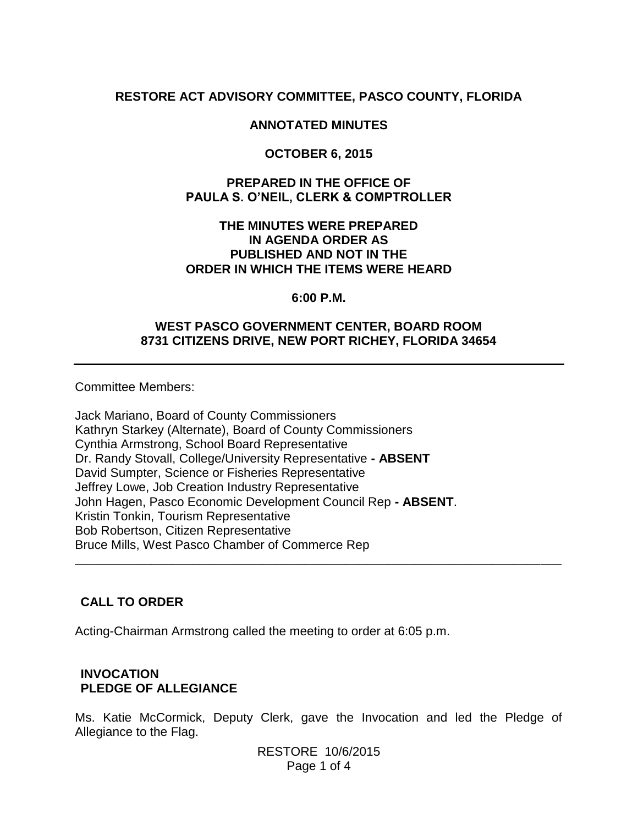## **RESTORE ACT ADVISORY COMMITTEE, PASCO COUNTY, FLORIDA**

### **ANNOTATED MINUTES**

### **OCTOBER 6, 2015**

### **PREPARED IN THE OFFICE OF PAULA S. O'NEIL, CLERK & COMPTROLLER**

### **THE MINUTES WERE PREPARED IN AGENDA ORDER AS PUBLISHED AND NOT IN THE ORDER IN WHICH THE ITEMS WERE HEARD**

#### **6:00 P.M.**

### **WEST PASCO GOVERNMENT CENTER, BOARD ROOM 8731 CITIZENS DRIVE, NEW PORT RICHEY, FLORIDA 34654**

Committee Members:

Jack Mariano, Board of County Commissioners Kathryn Starkey (Alternate), Board of County Commissioners Cynthia Armstrong, School Board Representative Dr. Randy Stovall, College/University Representative **- ABSENT** David Sumpter, Science or Fisheries Representative Jeffrey Lowe, Job Creation Industry Representative John Hagen, Pasco Economic Development Council Rep **- ABSENT**. Kristin Tonkin, Tourism Representative Bob Robertson, Citizen Representative Bruce Mills, West Pasco Chamber of Commerce Rep

### **CALL TO ORDER**

Acting-Chairman Armstrong called the meeting to order at 6:05 p.m.

## **INVOCATION PLEDGE OF ALLEGIANCE**

Ms. Katie McCormick, Deputy Clerk, gave the Invocation and led the Pledge of Allegiance to the Flag.

**\_\_\_\_\_\_\_\_\_\_\_\_\_\_\_\_\_\_\_\_\_\_\_\_\_\_\_\_\_\_\_\_\_\_\_\_\_\_\_\_\_\_\_\_\_\_\_\_\_\_\_\_\_\_\_\_\_\_\_\_\_\_\_\_\_\_\_\_\_\_**

RESTORE 10/6/2015 Page 1 of 4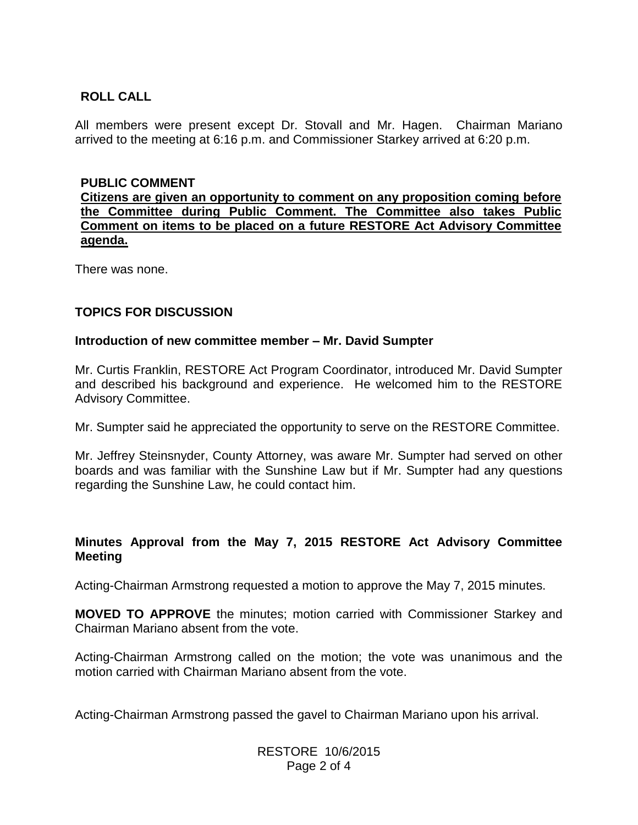## **ROLL CALL**

All members were present except Dr. Stovall and Mr. Hagen. Chairman Mariano arrived to the meeting at 6:16 p.m. and Commissioner Starkey arrived at 6:20 p.m.

### **PUBLIC COMMENT**

**Citizens are given an opportunity to comment on any proposition coming before the Committee during Public Comment. The Committee also takes Public Comment on items to be placed on a future RESTORE Act Advisory Committee agenda.**

There was none.

## **TOPICS FOR DISCUSSION**

### **Introduction of new committee member – Mr. David Sumpter**

Mr. Curtis Franklin, RESTORE Act Program Coordinator, introduced Mr. David Sumpter and described his background and experience. He welcomed him to the RESTORE Advisory Committee.

Mr. Sumpter said he appreciated the opportunity to serve on the RESTORE Committee.

Mr. Jeffrey Steinsnyder, County Attorney, was aware Mr. Sumpter had served on other boards and was familiar with the Sunshine Law but if Mr. Sumpter had any questions regarding the Sunshine Law, he could contact him.

## **Minutes Approval from the May 7, 2015 RESTORE Act Advisory Committee Meeting**

Acting-Chairman Armstrong requested a motion to approve the May 7, 2015 minutes.

**MOVED TO APPROVE** the minutes; motion carried with Commissioner Starkey and Chairman Mariano absent from the vote.

Acting-Chairman Armstrong called on the motion; the vote was unanimous and the motion carried with Chairman Mariano absent from the vote.

Acting-Chairman Armstrong passed the gavel to Chairman Mariano upon his arrival.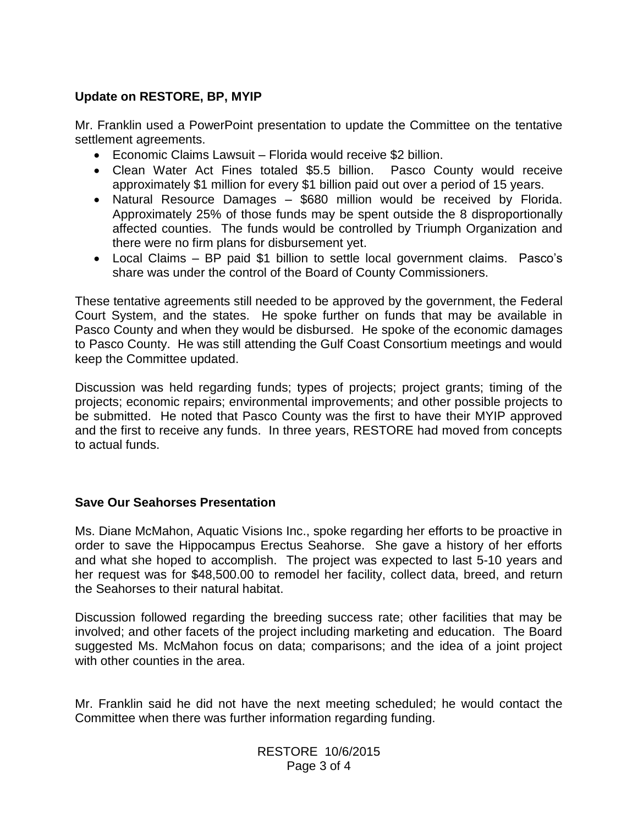## **Update on RESTORE, BP, MYIP**

Mr. Franklin used a PowerPoint presentation to update the Committee on the tentative settlement agreements.

- Economic Claims Lawsuit Florida would receive \$2 billion.
- Clean Water Act Fines totaled \$5.5 billion. Pasco County would receive approximately \$1 million for every \$1 billion paid out over a period of 15 years.
- Natural Resource Damages \$680 million would be received by Florida. Approximately 25% of those funds may be spent outside the 8 disproportionally affected counties. The funds would be controlled by Triumph Organization and there were no firm plans for disbursement yet.
- Local Claims BP paid \$1 billion to settle local government claims. Pasco's share was under the control of the Board of County Commissioners.

These tentative agreements still needed to be approved by the government, the Federal Court System, and the states. He spoke further on funds that may be available in Pasco County and when they would be disbursed. He spoke of the economic damages to Pasco County. He was still attending the Gulf Coast Consortium meetings and would keep the Committee updated.

Discussion was held regarding funds; types of projects; project grants; timing of the projects; economic repairs; environmental improvements; and other possible projects to be submitted. He noted that Pasco County was the first to have their MYIP approved and the first to receive any funds. In three years, RESTORE had moved from concepts to actual funds.

### **Save Our Seahorses Presentation**

Ms. Diane McMahon, Aquatic Visions Inc., spoke regarding her efforts to be proactive in order to save the Hippocampus Erectus Seahorse. She gave a history of her efforts and what she hoped to accomplish. The project was expected to last 5-10 years and her request was for \$48,500.00 to remodel her facility, collect data, breed, and return the Seahorses to their natural habitat.

Discussion followed regarding the breeding success rate; other facilities that may be involved; and other facets of the project including marketing and education. The Board suggested Ms. McMahon focus on data; comparisons; and the idea of a joint project with other counties in the area.

Mr. Franklin said he did not have the next meeting scheduled; he would contact the Committee when there was further information regarding funding.